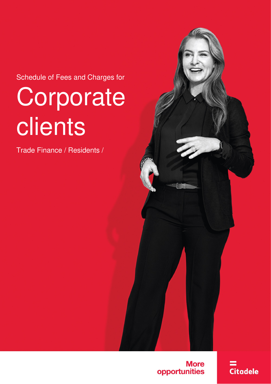Schedule of Fees and Charges for

# **Corporate** clients

Trade Finance / Residents /

**More** opportunities **Citadele**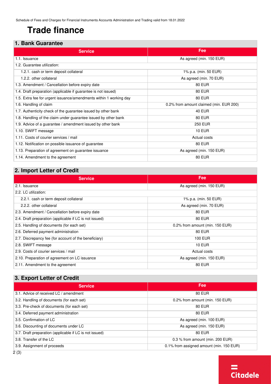## **Trade finance**

#### **1. Bank Guarantee**

| <b>Service</b>                                                     | Fee                                     |
|--------------------------------------------------------------------|-----------------------------------------|
| 1.1. Issuance                                                      | As agreed (min. 150 EUR)                |
| 1.2. Guarantee utilization:                                        |                                         |
| 1.2.1. cash or term deposit collateral                             | 1% p.a. (min. 50 EUR)                   |
| 1.2.2. other collateral                                            | As agreed (min. 70 EUR)                 |
| 1.3. Amendment / Cancellation before expiry date                   | <b>80 EUR</b>                           |
| 1.4. Draft preparation (applicable if guarantee is not issued)     | <b>80 EUR</b>                           |
| 1.5. Extra fee for urgent issuance/amendments within 1 working day | <b>80 EUR</b>                           |
| 1.6. Handling of claim                                             | 0.2% from amount claimed (min. EUR 200) |
| 1.7. Authenticity check of the guarantee issued by other bank      | <b>40 EUR</b>                           |
| 1.8. Handling of the claim under guarantee issued by other bank    | <b>80 EUR</b>                           |
| 1.9. Advice of a guarantee / amendment issued by other bank        | <b>250 EUR</b>                          |
| 1.10. SWIFT message                                                | <b>10 EUR</b>                           |
| 1.11. Costs of courier services / mail                             | Actual costs                            |
| 1.12. Notification on possible issuance of guarantee               | <b>80 EUR</b>                           |
| 1.13. Preparation of agreement on guarantee issuance               | As agreed (min. 150 EUR)                |
| 1.14. Amendment to the agreement                                   | <b>80 EUR</b>                           |

### **2. Import Letter of Credit**

| <b>Service</b>                                          | Fee                             |
|---------------------------------------------------------|---------------------------------|
| 2.1. Issuance                                           | As agreed (min. 150 EUR)        |
| 2.2. LC utilization:                                    |                                 |
| 2.2.1. cash or term deposit collateral                  | 1% p.a. (min. 50 EUR)           |
| 2.2.2. other collateral                                 | As agreed (min. 70 EUR)         |
| 2.3. Amendment / Cancellation before expiry date        | <b>80 EUR</b>                   |
| 2.4. Draft preparation (applicable if LC is not issued) | <b>80 EUR</b>                   |
| 2.5. Handling of documents (for each set)               | 0.2% from amount (min. 150 EUR) |
| 2.6. Deferred payment administration                    | <b>80 EUR</b>                   |
| 2.7. Discrepancy fee (for account of the beneficiary)   | 100 EUR                         |
| 2.8. SWIFT message                                      | <b>10 EUR</b>                   |
| 2.9. Costs of courier services / mail                   | Actual costs                    |
| 2.10. Preparation of agreement on LC issuance           | As agreed (min. 150 EUR)        |
| 2.11. Amendment to the agreement                        | <b>80 EUR</b>                   |

#### **3. Export Letter of Credit**

| <b>Fee</b>                               |  |  |
|------------------------------------------|--|--|
| 80 EUR                                   |  |  |
| 0.2% from amount (min. 150 EUR)          |  |  |
| <b>80 EUR</b>                            |  |  |
| 80 EUR                                   |  |  |
| As agreed (min. 100 EUR)                 |  |  |
| As agreed (min. 150 EUR)                 |  |  |
| 80 EUR                                   |  |  |
| $0.3$ % from amount (min. 200 EUR)       |  |  |
| 0.1% from assigned amount (min. 150 EUR) |  |  |
|                                          |  |  |

 $=$ 

 $Citadele$